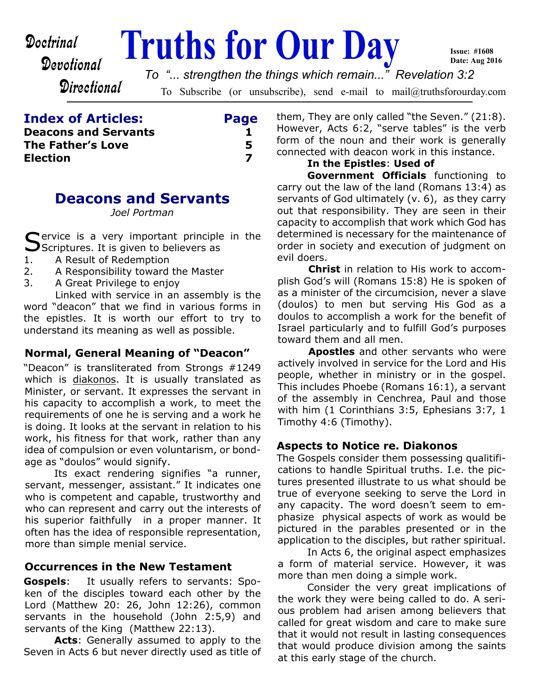# **Doctrinal** Truths for Our Day

**Issue: #1608 Date: Aug 2016**

**Directional** 

To Subscribe (or unsubscribe), send e-mail to mail@truthsforourday.com *To "... strengthen the things which remain..." Revelation 3:2*

| <b>Index of Articles:</b>   | Page |
|-----------------------------|------|
| <b>Deacons and Servants</b> |      |
| The Father's Love           | 5    |
| <b>Election</b>             |      |

# **Deacons and Servants**

*Joel Portman*

Service is a very important principle in the<br>Seriptures. It is given to believers as  $\bigcup$ Scriptures. It is given to believers as

- 1. A Result of Redemption
- 2. A Responsibility toward the Master
- 3. A Great Privilege to enjoy

Linked with service in an assembly is the word "deacon" that we find in various forms in the epistles. It is worth our effort to try to understand its meaning as well as possible.

# **Normal, General Meaning of "Deacon"**

"Deacon" is transliterated from Strongs #1249 which is diakonos. It is usually translated as Minister, or servant. It expresses the servant in his capacity to accomplish a work, to meet the requirements of one he is serving and a work he is doing. It looks at the servant in relation to his work, his fitness for that work, rather than any idea of compulsion or even voluntarism, or bondage as "doulos" would signify.

Its exact rendering signifies "a runner, servant, messenger, assistant." It indicates one who is competent and capable, trustworthy and who can represent and carry out the interests of his superior faithfully in a proper manner. It often has the idea of responsible representation, more than simple menial service.

# **Occurrences in the New Testament**

**Gospels**: It usually refers to servants: Spoken of the disciples toward each other by the Lord (Matthew 20: 26, John 12:26), common servants in the household (John 2:5,9) and servants of the King (Matthew 22:13).

**Acts**: Generally assumed to apply to the Seven in Acts 6 but never directly used as title of them, They are only called "the Seven." (21:8). However, Acts 6:2, "serve tables" is the verb form of the noun and their work is generally connected with deacon work in this instance.

### **In the Epistles**: **Used of**

**Government Officials** functioning to carry out the law of the land (Romans 13:4) as servants of God ultimately (v. 6), as they carry out that responsibility. They are seen in their capacity to accomplish that work which God has determined is necessary for the maintenance of order in society and execution of judgment on evil doers.

**Christ** in relation to His work to accomplish God's will (Romans 15:8) He is spoken of as a minister of the circumcision, never a slave (doulos) to men but serving His God as a doulos to accomplish a work for the benefit of Israel particularly and to fulfill God's purposes toward them and all men.

**Apostles** and other servants who were actively involved in service for the Lord and His people, whether in ministry or in the gospel. This includes Phoebe (Romans 16:1), a servant of the assembly in Cenchrea, Paul and those with him (1 Corinthians 3:5, Ephesians 3:7, 1 Timothy 4:6 (Timothy).

# **Aspects to Notice re. Diakonos**

The Gospels consider them possessing qualitifications to handle Spiritual truths. I.e. the pictures presented illustrate to us what should be true of everyone seeking to serve the Lord in any capacity. The word doesn't seem to emphasize physical aspects of work as would be pictured in the parables presented or in the application to the disciples, but rather spiritual.

In Acts 6, the original aspect emphasizes a form of material service. However, it was more than men doing a simple work.

Consider the very great implications of the work they were being called to do. A serious problem had arisen among believers that called for great wisdom and care to make sure that it would not result in lasting consequences that would produce division among the saints at this early stage of the church.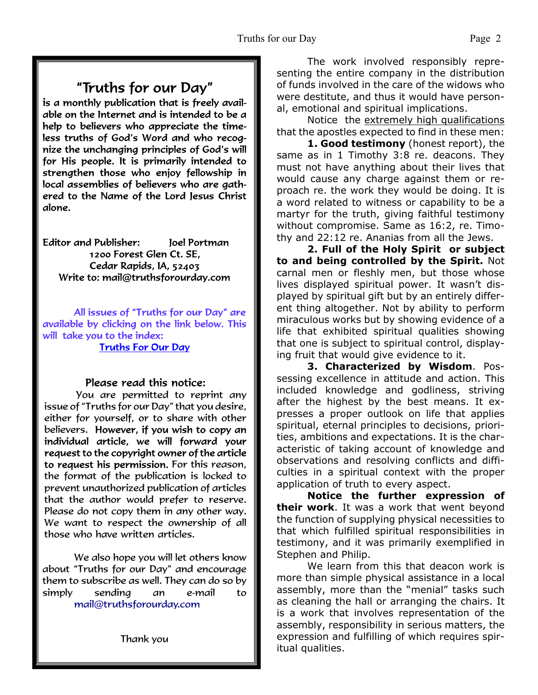# "Truths for our Day"

is a monthly publication that is freely available on the Internet and is intended to be a help to believers who appreciate the timeless truths of God's Word and who recognize the unchanging principles of God's will for His people. It is primarily intended to strengthen those who enjoy fellowship in local assemblies of believers who are gathered to the Name of the Lord Jesus Christ alone.

**Editor and Publisher:** Joel Portman 1200 Forest Glen Ct. SE. Cedar Rapids, IA, 52403 Write to: mail@truthsforourday.com

All issues of "Truths for our Day" are available by clicking on the link below. This will take you to the index: **Truths For Our Day** 

# Please read this notice:

You are permitted to reprint any issue of "Truths for our Day" that you desire, either for yourself, or to share with other believers. However, if you wish to copy an individual article, we will forward your request to the copyright owner of the article to request his permission. For this reason, the format of the publication is locked to prevent unauthorized publication of articles that the author would prefer to reserve. Please do not copy them in any other way. We want to respect the ownership of all those who have written articles.

 We also hope you will let others know about "Truths for our Day" and encourage them to subscribe as well. They can do so by simply sending an e-mail to mail@truthsforourday.com

The work involved responsibly representing the entire company in the distribution of funds involved in the care of the widows who were destitute, and thus it would have personal, emotional and spiritual implications.

Notice the extremely high qualifications that the apostles expected to find in these men:

**1. Good testimony** (honest report), the same as in 1 Timothy 3:8 re. deacons. They must not have anything about their lives that would cause any charge against them or reproach re. the work they would be doing. It is a word related to witness or capability to be a martyr for the truth, giving faithful testimony without compromise. Same as 16:2, re. Timothy and 22:12 re. Ananias from all the Jews.

**2. Full of the Holy Spirit or subject to and being controlled by the Spirit.** Not carnal men or fleshly men, but those whose lives displayed spiritual power. It wasn't displayed by spiritual gift but by an entirely different thing altogether. Not by ability to perform miraculous works but by showing evidence of a life that exhibited spiritual qualities showing that one is subject to spiritual control, displaying fruit that would give evidence to it.

**3. Characterized by Wisdom**. Possessing excellence in attitude and action. This included knowledge and godliness, striving after the highest by the best means. It expresses a proper outlook on life that applies spiritual, eternal principles to decisions, priorities, ambitions and expectations. It is the characteristic of taking account of knowledge and observations and resolving conflicts and difficulties in a spiritual context with the proper application of truth to every aspect.

**Notice the further expression of their work**. It was a work that went beyond the function of supplying physical necessities to that which fulfilled spiritual responsibilities in testimony, and it was primarily exemplified in Stephen and Philip.

We learn from this that deacon work is more than simple physical assistance in a local assembly, more than the "menial" tasks such as cleaning the hall or arranging the chairs. It is a work that involves representation of the assembly, responsibility in serious matters, the expression and fulfilling of which requires spiritual qualities.

Thank you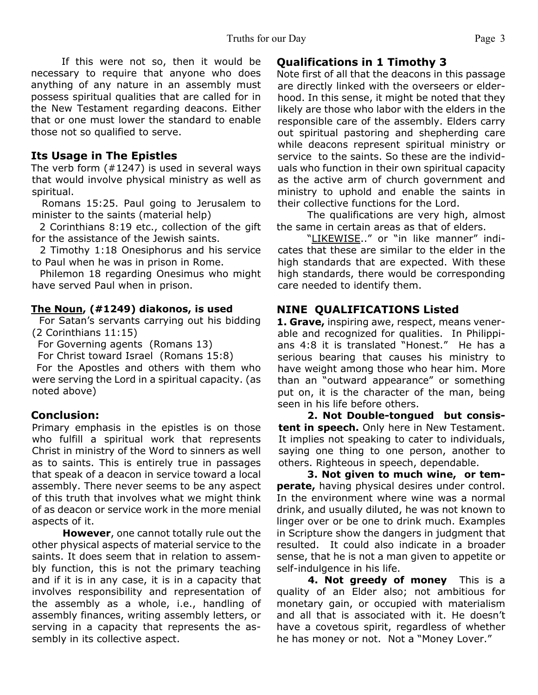If this were not so, then it would be necessary to require that anyone who does anything of any nature in an assembly must possess spiritual qualities that are called for in the New Testament regarding deacons. Either that or one must lower the standard to enable those not so qualified to serve.

# **Its Usage in The Epistles**

The verb form (#1247) is used in several ways that would involve physical ministry as well as spiritual.

 Romans 15:25. Paul going to Jerusalem to minister to the saints (material help)

 2 Corinthians 8:19 etc., collection of the gift for the assistance of the Jewish saints.

 2 Timothy 1:18 Onesiphorus and his service to Paul when he was in prison in Rome.

 Philemon 18 regarding Onesimus who might have served Paul when in prison.

#### **The Noun, (#1249) diakonos, is used**

 For Satan's servants carrying out his bidding (2 Corinthians 11:15)

For Governing agents (Romans 13)

For Christ toward Israel (Romans 15:8)

 For the Apostles and others with them who were serving the Lord in a spiritual capacity. (as noted above)

#### **Conclusion:**

Primary emphasis in the epistles is on those who fulfill a spiritual work that represents Christ in ministry of the Word to sinners as well as to saints. This is entirely true in passages that speak of a deacon in service toward a local assembly. There never seems to be any aspect of this truth that involves what we might think of as deacon or service work in the more menial aspects of it.

**However**, one cannot totally rule out the other physical aspects of material service to the saints. It does seem that in relation to assembly function, this is not the primary teaching and if it is in any case, it is in a capacity that involves responsibility and representation of the assembly as a whole, i.e., handling of assembly finances, writing assembly letters, or serving in a capacity that represents the assembly in its collective aspect.

# **Qualifications in 1 Timothy 3**

Note first of all that the deacons in this passage are directly linked with the overseers or elderhood. In this sense, it might be noted that they likely are those who labor with the elders in the responsible care of the assembly. Elders carry out spiritual pastoring and shepherding care while deacons represent spiritual ministry or service to the saints. So these are the individuals who function in their own spiritual capacity as the active arm of church government and ministry to uphold and enable the saints in their collective functions for the Lord.

The qualifications are very high, almost the same in certain areas as that of elders.

"LIKEWISE.." or "in like manner" indicates that these are similar to the elder in the high standards that are expected. With these high standards, there would be corresponding care needed to identify them.

# **NINE QUALIFICATIONS Listed**

**1. Grave,** inspiring awe, respect, means venerable and recognized for qualities. In Philippians 4:8 it is translated "Honest." He has a serious bearing that causes his ministry to have weight among those who hear him. More than an "outward appearance" or something put on, it is the character of the man, being seen in his life before others.

**2. Not Double-tongued but consistent in speech.** Only here in New Testament. It implies not speaking to cater to individuals, saying one thing to one person, another to others. Righteous in speech, dependable.

**3. Not given to much wine, or temperate,** having physical desires under control. In the environment where wine was a normal drink, and usually diluted, he was not known to linger over or be one to drink much. Examples in Scripture show the dangers in judgment that resulted. It could also indicate in a broader sense, that he is not a man given to appetite or self-indulgence in his life.

**4. Not greedy of money** This is a quality of an Elder also; not ambitious for monetary gain, or occupied with materialism and all that is associated with it. He doesn't have a covetous spirit, regardless of whether he has money or not. Not a "Money Lover."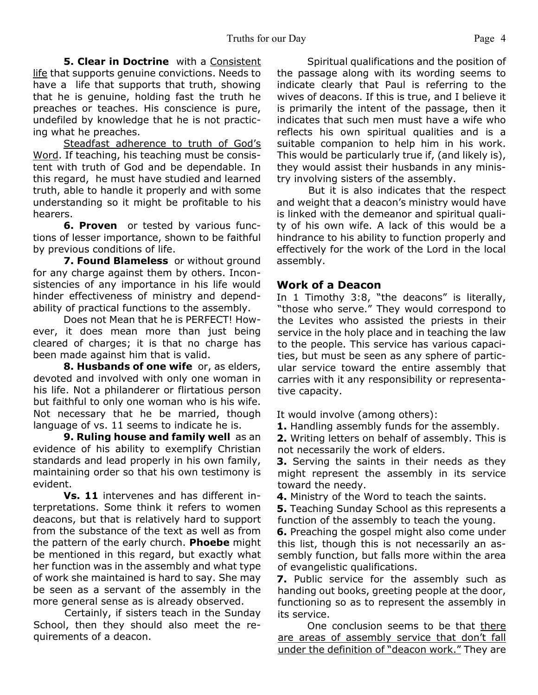**5. Clear in Doctrine** with a Consistent life that supports genuine convictions. Needs to have a life that supports that truth, showing that he is genuine, holding fast the truth he preaches or teaches. His conscience is pure, undefiled by knowledge that he is not practicing what he preaches.

Steadfast adherence to truth of God's Word. If teaching, his teaching must be consistent with truth of God and be dependable. In this regard, he must have studied and learned truth, able to handle it properly and with some understanding so it might be profitable to his hearers.

**6. Proven** or tested by various functions of lesser importance, shown to be faithful by previous conditions of life.

**7. Found Blameless** or without ground for any charge against them by others. Inconsistencies of any importance in his life would hinder effectiveness of ministry and dependability of practical functions to the assembly.

Does not Mean that he is PERFECT! However, it does mean more than just being cleared of charges; it is that no charge has been made against him that is valid.

**8. Husbands of one wife** or, as elders, devoted and involved with only one woman in his life. Not a philanderer or flirtatious person but faithful to only one woman who is his wife. Not necessary that he be married, though language of vs. 11 seems to indicate he is.

**9. Ruling house and family well** as an evidence of his ability to exemplify Christian standards and lead properly in his own family, maintaining order so that his own testimony is evident.

**Vs. 11** intervenes and has different interpretations. Some think it refers to women deacons, but that is relatively hard to support from the substance of the text as well as from the pattern of the early church. **Phoebe** might be mentioned in this regard, but exactly what her function was in the assembly and what type of work she maintained is hard to say. She may be seen as a servant of the assembly in the more general sense as is already observed.

Certainly, if sisters teach in the Sunday School, then they should also meet the requirements of a deacon.

Spiritual qualifications and the position of the passage along with its wording seems to indicate clearly that Paul is referring to the wives of deacons. If this is true, and I believe it is primarily the intent of the passage, then it indicates that such men must have a wife who reflects his own spiritual qualities and is a suitable companion to help him in his work. This would be particularly true if, (and likely is), they would assist their husbands in any ministry involving sisters of the assembly.

But it is also indicates that the respect and weight that a deacon's ministry would have is linked with the demeanor and spiritual quality of his own wife. A lack of this would be a hindrance to his ability to function properly and effectively for the work of the Lord in the local assembly.

#### **Work of a Deacon**

In 1 Timothy 3:8, "the deacons" is literally, "those who serve." They would correspond to the Levites who assisted the priests in their service in the holy place and in teaching the law to the people. This service has various capacities, but must be seen as any sphere of particular service toward the entire assembly that carries with it any responsibility or representative capacity.

It would involve (among others):

**1.** Handling assembly funds for the assembly.

**2.** Writing letters on behalf of assembly. This is not necessarily the work of elders.

**3.** Serving the saints in their needs as they might represent the assembly in its service toward the needy.

**4.** Ministry of the Word to teach the saints.

**5.** Teaching Sunday School as this represents a function of the assembly to teach the young.

**6.** Preaching the gospel might also come under this list, though this is not necessarily an assembly function, but falls more within the area of evangelistic qualifications.

**7.** Public service for the assembly such as handing out books, greeting people at the door, functioning so as to represent the assembly in its service.

One conclusion seems to be that there are areas of assembly service that don't fall under the definition of "deacon work." They are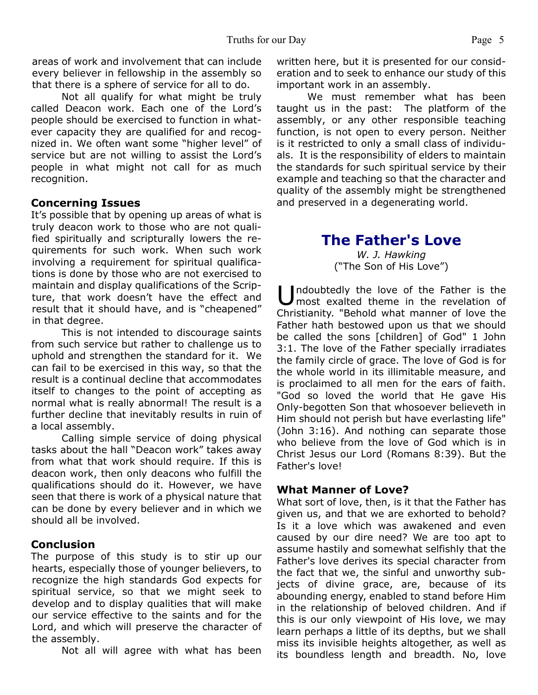areas of work and involvement that can include every believer in fellowship in the assembly so that there is a sphere of service for all to do.

Not all qualify for what might be truly called Deacon work. Each one of the Lord's people should be exercised to function in whatever capacity they are qualified for and recognized in. We often want some "higher level" of service but are not willing to assist the Lord's people in what might not call for as much recognition.

#### **Concerning Issues**

It's possible that by opening up areas of what is truly deacon work to those who are not qualified spiritually and scripturally lowers the requirements for such work. When such work involving a requirement for spiritual qualifications is done by those who are not exercised to maintain and display qualifications of the Scripture, that work doesn't have the effect and result that it should have, and is "cheapened" in that degree.

This is not intended to discourage saints from such service but rather to challenge us to uphold and strengthen the standard for it. We can fail to be exercised in this way, so that the result is a continual decline that accommodates itself to changes to the point of accepting as normal what is really abnormal! The result is a further decline that inevitably results in ruin of a local assembly.

Calling simple service of doing physical tasks about the hall "Deacon work" takes away from what that work should require. If this is deacon work, then only deacons who fulfill the qualifications should do it. However, we have seen that there is work of a physical nature that can be done by every believer and in which we should all be involved.

#### **Conclusion**

The purpose of this study is to stir up our hearts, especially those of younger believers, to recognize the high standards God expects for spiritual service, so that we might seek to develop and to display qualities that will make our service effective to the saints and for the Lord, and which will preserve the character of the assembly.

Not all will agree with what has been

written here, but it is presented for our consideration and to seek to enhance our study of this important work in an assembly.

We must remember what has been taught us in the past: The platform of the assembly, or any other responsible teaching function, is not open to every person. Neither is it restricted to only a small class of individuals. It is the responsibility of elders to maintain the standards for such spiritual service by their example and teaching so that the character and quality of the assembly might be strengthened and preserved in a degenerating world.

# **The Father's Love**

*W. J. Hawking* ("The Son of His Love")

Undoubtedly the love of the Father is the<br>most exalted theme in the revelation of most exalted theme in the revelation of Christianity. "Behold what manner of love the Father hath bestowed upon us that we should be called the sons [children] of God" 1 John 3:1. The love of the Father specially irradiates the family circle of grace. The love of God is for the whole world in its illimitable measure, and is proclaimed to all men for the ears of faith. "God so loved the world that He gave His Only-begotten Son that whosoever believeth in Him should not perish but have everlasting life" (John 3:16). And nothing can separate those who believe from the love of God which is in Christ Jesus our Lord (Romans 8:39). But the Father's love!

#### **What Manner of Love?**

What sort of love, then, is it that the Father has given us, and that we are exhorted to behold? Is it a love which was awakened and even caused by our dire need? We are too apt to assume hastily and somewhat selfishly that the Father's love derives its special character from the fact that we, the sinful and unworthy subjects of divine grace, are, because of its abounding energy, enabled to stand before Him in the relationship of beloved children. And if this is our only viewpoint of His love, we may learn perhaps a little of its depths, but we shall miss its invisible heights altogether, as well as its boundless length and breadth. No, love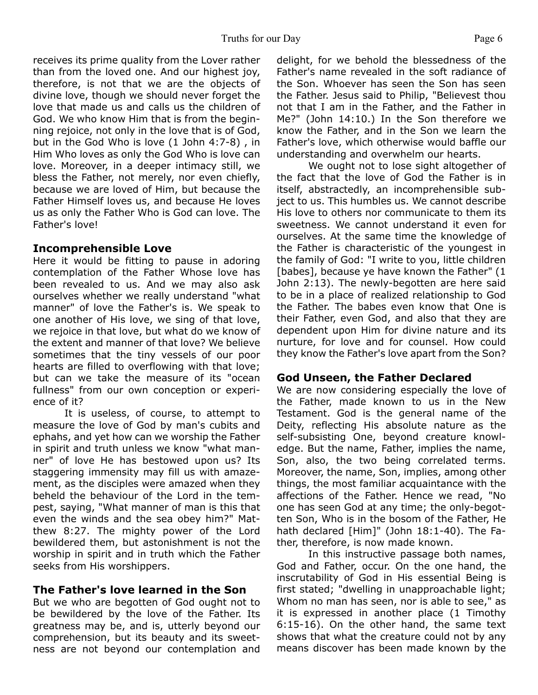receives its prime quality from the Lover rather than from the loved one. And our highest joy, therefore, is not that we are the objects of divine love, though we should never forget the love that made us and calls us the children of God. We who know Him that is from the beginning rejoice, not only in the love that is of God, but in the God Who is love (1 John 4:7-8) , in Him Who loves as only the God Who is love can love. Moreover, in a deeper intimacy still, we bless the Father, not merely, nor even chiefly, because we are loved of Him, but because the Father Himself loves us, and because He loves us as only the Father Who is God can love. The Father's love!

# **Incomprehensible Love**

Here it would be fitting to pause in adoring contemplation of the Father Whose love has been revealed to us. And we may also ask ourselves whether we really understand "what manner" of love the Father's is. We speak to one another of His love, we sing of that love, we rejoice in that love, but what do we know of the extent and manner of that love? We believe sometimes that the tiny vessels of our poor hearts are filled to overflowing with that love; but can we take the measure of its "ocean fullness" from our own conception or experience of it?

 It is useless, of course, to attempt to measure the love of God by man's cubits and ephahs, and yet how can we worship the Father in spirit and truth unless we know "what manner" of love He has bestowed upon us? Its staggering immensity may fill us with amazement, as the disciples were amazed when they beheld the behaviour of the Lord in the tempest, saying, "What manner of man is this that even the winds and the sea obey him?" Matthew 8:27. The mighty power of the Lord bewildered them, but astonishment is not the worship in spirit and in truth which the Father seeks from His worshippers.

# **The Father's love learned in the Son**

But we who are begotten of God ought not to be bewildered by the love of the Father. Its greatness may be, and is, utterly beyond our comprehension, but its beauty and its sweetness are not beyond our contemplation and delight, for we behold the blessedness of the Father's name revealed in the soft radiance of the Son. Whoever has seen the Son has seen the Father. Jesus said to Philip, "Believest thou not that I am in the Father, and the Father in Me?" (John 14:10.) In the Son therefore we know the Father, and in the Son we learn the Father's love, which otherwise would baffle our understanding and overwhelm our hearts.

 We ought not to lose sight altogether of the fact that the love of God the Father is in itself, abstractedly, an incomprehensible subject to us. This humbles us. We cannot describe His love to others nor communicate to them its sweetness. We cannot understand it even for ourselves. At the same time the knowledge of the Father is characteristic of the youngest in the family of God: "I write to you, little children [babes], because ye have known the Father" (1 John 2:13). The newly-begotten are here said to be in a place of realized relationship to God the Father. The babes even know that One is their Father, even God, and also that they are dependent upon Him for divine nature and its nurture, for love and for counsel. How could they know the Father's love apart from the Son?

#### **God Unseen, the Father Declared**

We are now considering especially the love of the Father, made known to us in the New Testament. God is the general name of the Deity, reflecting His absolute nature as the self-subsisting One, beyond creature knowledge. But the name, Father, implies the name, Son, also, the two being correlated terms. Moreover, the name, Son, implies, among other things, the most familiar acquaintance with the affections of the Father. Hence we read, "No one has seen God at any time; the only-begotten Son, Who is in the bosom of the Father, He hath declared [Him]" (John 18:1-40). The Father, therefore, is now made known.

 In this instructive passage both names, God and Father, occur. On the one hand, the inscrutability of God in His essential Being is first stated; "dwelling in unapproachable light; Whom no man has seen, nor is able to see," as it is expressed in another place (1 Timothy 6:15-16). On the other hand, the same text shows that what the creature could not by any means discover has been made known by the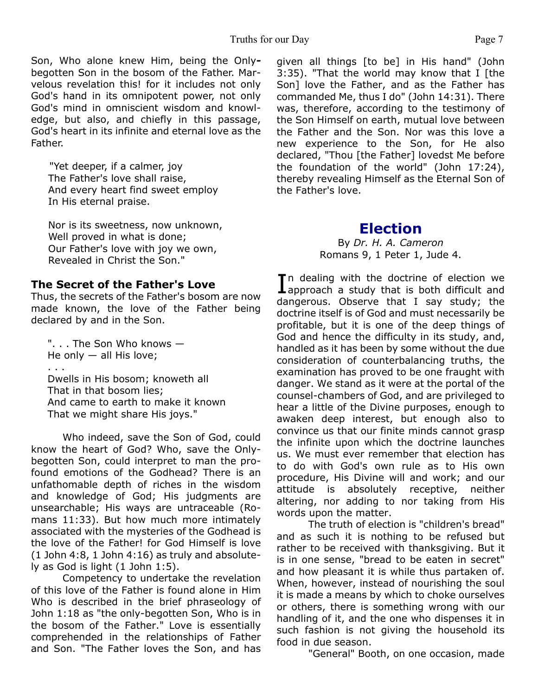Son, Who alone knew Him, being the Onlybegotten Son in the bosom of the Father. Marvelous revelation this! for it includes not only God's hand in its omnipotent power, not only God's mind in omniscient wisdom and knowledge, but also, and chiefly in this passage, God's heart in its infinite and eternal love as the Father.

"Yet deeper, if a calmer, joy The Father's love shall raise, And every heart find sweet employ In His eternal praise.

Nor is its sweetness, now unknown, Well proved in what is done; Our Father's love with joy we own, Revealed in Christ the Son."

#### **The Secret of the Father's Love**

Thus, the secrets of the Father's bosom are now made known, the love of the Father being declared by and in the Son.

". . . The Son Who knows — He only  $-$  all His love; . . . Dwells in His bosom; knoweth all That in that bosom lies; And came to earth to make it known That we might share His joys."

 Who indeed, save the Son of God, could know the heart of God? Who, save the Onlybegotten Son, could interpret to man the profound emotions of the Godhead? There is an unfathomable depth of riches in the wisdom and knowledge of God; His judgments are unsearchable; His ways are untraceable (Romans 11:33). But how much more intimately associated with the mysteries of the Godhead is the love of the Father! for God Himself is love (1 John 4:8, 1 John 4:16) as truly and absolutely as God is light (1 John 1:5).

 Competency to undertake the revelation of this love of the Father is found alone in Him Who is described in the brief phraseology of John 1:18 as "the only-begotten Son, Who is in the bosom of the Father." Love is essentially comprehended in the relationships of Father and Son. "The Father loves the Son, and has given all things [to be] in His hand" (John 3:35). "That the world may know that I [the Son] love the Father, and as the Father has commanded Me, thus I do" (John 14:31). There was, therefore, according to the testimony of the Son Himself on earth, mutual love between the Father and the Son. Nor was this love a new experience to the Son, for He also declared, "Thou [the Father] lovedst Me before the foundation of the world" (John 17:24), thereby revealing Himself as the Eternal Son of the Father's love.

# **Election**

By *Dr. H. A. Cameron* Romans 9, 1 Peter 1, Jude 4.

In dealing with the doctrine of election we<br>approach a study that is both difficult and **T**n dealing with the doctrine of election we dangerous. Observe that I say study; the doctrine itself is of God and must necessarily be profitable, but it is one of the deep things of God and hence the difficulty in its study, and, handled as it has been by some without the due consideration of counterbalancing truths, the examination has proved to be one fraught with danger. We stand as it were at the portal of the counsel-chambers of God, and are privileged to hear a little of the Divine purposes, enough to awaken deep interest, but enough also to convince us that our finite minds cannot grasp the infinite upon which the doctrine launches us. We must ever remember that election has to do with God's own rule as to His own procedure, His Divine will and work; and our attitude is absolutely receptive, neither altering, nor adding to nor taking from His words upon the matter.

 The truth of election is "children's bread" and as such it is nothing to be refused but rather to be received with thanksgiving. But it is in one sense, "bread to be eaten in secret" and how pleasant it is while thus partaken of. When, however, instead of nourishing the soul it is made a means by which to choke ourselves or others, there is something wrong with our handling of it, and the one who dispenses it in such fashion is not giving the household its food in due season.

"General" Booth, on one occasion, made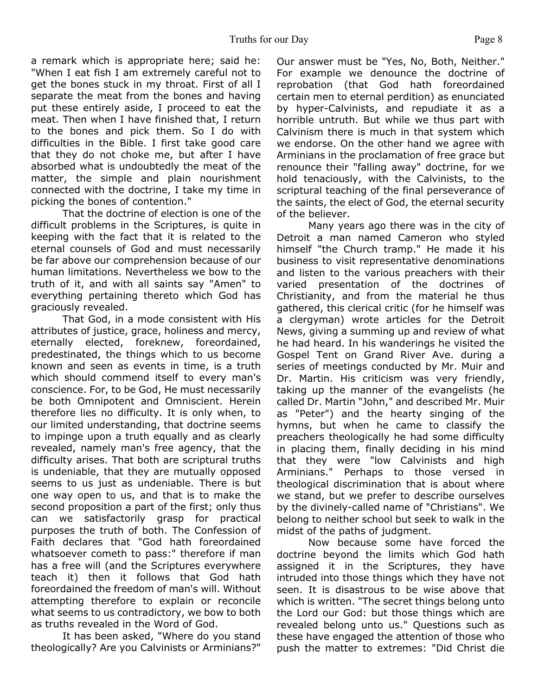a remark which is appropriate here; said he: "When I eat fish I am extremely careful not to get the bones stuck in my throat. First of all I separate the meat from the bones and having put these entirely aside, I proceed to eat the meat. Then when I have finished that, I return to the bones and pick them. So I do with difficulties in the Bible. I first take good care that they do not choke me, but after I have absorbed what is undoubtedly the meat of the matter, the simple and plain nourishment connected with the doctrine, I take my time in picking the bones of contention."

 That the doctrine of election is one of the difficult problems in the Scriptures, is quite in keeping with the fact that it is related to the eternal counsels of God and must necessarily be far above our comprehension because of our human limitations. Nevertheless we bow to the truth of it, and with all saints say "Amen" to everything pertaining thereto which God has graciously revealed.

 That God, in a mode consistent with His attributes of justice, grace, holiness and mercy, eternally elected, foreknew, foreordained, predestinated, the things which to us become known and seen as events in time, is a truth which should commend itself to every man's conscience. For, to be God, He must necessarily be both Omnipotent and Omniscient. Herein therefore lies no difficulty. It is only when, to our limited understanding, that doctrine seems to impinge upon a truth equally and as clearly revealed, namely man's free agency, that the difficulty arises. That both are scriptural truths is undeniable, that they are mutually opposed seems to us just as undeniable. There is but one way open to us, and that is to make the second proposition a part of the first; only thus can we satisfactorily grasp for practical purposes the truth of both. The Confession of Faith declares that "God hath foreordained whatsoever cometh to pass:" therefore if man has a free will (and the Scriptures everywhere teach it) then it follows that God hath foreordained the freedom of man's will. Without attempting therefore to explain or reconcile what seems to us contradictory, we bow to both as truths revealed in the Word of God.

 It has been asked, "Where do you stand theologically? Are you Calvinists or Arminians?" Our answer must be "Yes, No, Both, Neither." For example we denounce the doctrine of reprobation (that God hath foreordained certain men to eternal perdition) as enunciated by hyper-Calvinists, and repudiate it as a horrible untruth. But while we thus part with Calvinism there is much in that system which we endorse. On the other hand we agree with Arminians in the proclamation of free grace but renounce their "falling away" doctrine, for we hold tenaciously, with the Calvinists, to the scriptural teaching of the final perseverance of the saints, the elect of God, the eternal security of the believer.

 Many years ago there was in the city of Detroit a man named Cameron who styled himself "the Church tramp." He made it his business to visit representative denominations and listen to the various preachers with their varied presentation of the doctrines of Christianity, and from the material he thus gathered, this clerical critic (for he himself was a clergyman) wrote articles for the Detroit News, giving a summing up and review of what he had heard. In his wanderings he visited the Gospel Tent on Grand River Ave. during a series of meetings conducted by Mr. Muir and Dr. Martin. His criticism was very friendly, taking up the manner of the evangelists (he called Dr. Martin "John," and described Mr. Muir as "Peter") and the hearty singing of the hymns, but when he came to classify the preachers theologically he had some difficulty in placing them, finally deciding in his mind that they were "low Calvinists and high Arminians." Perhaps to those versed in theological discrimination that is about where we stand, but we prefer to describe ourselves by the divinely-called name of "Christians". We belong to neither school but seek to walk in the midst of the paths of judgment.

 Now because some have forced the doctrine beyond the limits which God hath assigned it in the Scriptures, they have intruded into those things which they have not seen. It is disastrous to be wise above that which is written. "The secret things belong unto the Lord our God: but those things which are revealed belong unto us." Questions such as these have engaged the attention of those who push the matter to extremes: "Did Christ die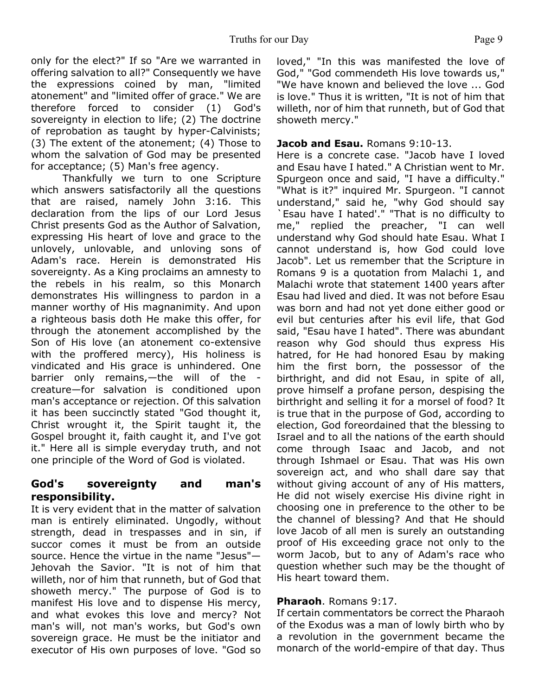only for the elect?" If so "Are we warranted in offering salvation to all?" Consequently we have the expressions coined by man, "limited atonement" and "limited offer of grace." We are therefore forced to consider (1) God's sovereignty in election to life; (2) The doctrine of reprobation as taught by hyper-Calvinists; (3) The extent of the atonement; (4) Those to whom the salvation of God may be presented for acceptance; (5) Man's free agency.

 Thankfully we turn to one Scripture which answers satisfactorily all the questions that are raised, namely John 3:16. This declaration from the lips of our Lord Jesus Christ presents God as the Author of Salvation, expressing His heart of love and grace to the unlovely, unlovable, and unloving sons of Adam's race. Herein is demonstrated His sovereignty. As a King proclaims an amnesty to the rebels in his realm, so this Monarch demonstrates His willingness to pardon in a manner worthy of His magnanimity. And upon a righteous basis doth He make this offer, for through the atonement accomplished by the Son of His love (an atonement co-extensive with the proffered mercy), His holiness is vindicated and His grace is unhindered. One barrier only remains,—the will of the creature—for salvation is conditioned upon man's acceptance or rejection. Of this salvation it has been succinctly stated "God thought it, Christ wrought it, the Spirit taught it, the Gospel brought it, faith caught it, and I've got it." Here all is simple everyday truth, and not one principle of the Word of God is violated.

# **God's sovereignty and man's responsibility.**

It is very evident that in the matter of salvation man is entirely eliminated. Ungodly, without strength, dead in trespasses and in sin, if succor comes it must be from an outside source. Hence the virtue in the name "Jesus"— Jehovah the Savior. "It is not of him that willeth, nor of him that runneth, but of God that showeth mercy." The purpose of God is to manifest His love and to dispense His mercy, and what evokes this love and mercy? Not man's will, not man's works, but God's own sovereign grace. He must be the initiator and executor of His own purposes of love. "God so loved," "In this was manifested the love of God," "God commendeth His love towards us," "We have known and believed the love ... God is love." Thus it is written, "It is not of him that willeth, nor of him that runneth, but of God that showeth mercy."

#### **Jacob and Esau.** Romans 9:10-13.

Here is a concrete case. "Jacob have I loved and Esau have I hated." A Christian went to Mr. Spurgeon once and said, "I have a difficulty." "What is it?" inquired Mr. Spurgeon. "I cannot understand," said he, "why God should say `Esau have I hated'." "That is no difficulty to me," replied the preacher, "I can well understand why God should hate Esau. What I cannot understand is, how God could love Jacob". Let us remember that the Scripture in Romans 9 is a quotation from Malachi 1, and Malachi wrote that statement 1400 years after Esau had lived and died. It was not before Esau was born and had not yet done either good or evil but centuries after his evil life, that God said, "Esau have I hated". There was abundant reason why God should thus express His hatred, for He had honored Esau by making him the first born, the possessor of the birthright, and did not Esau, in spite of all, prove himself a profane person, despising the birthright and selling it for a morsel of food? It is true that in the purpose of God, according to election, God foreordained that the blessing to Israel and to all the nations of the earth should come through Isaac and Jacob, and not through Ishmael or Esau. That was His own sovereign act, and who shall dare say that without giving account of any of His matters, He did not wisely exercise His divine right in choosing one in preference to the other to be the channel of blessing? And that He should love Jacob of all men is surely an outstanding proof of His exceeding grace not only to the worm Jacob, but to any of Adam's race who question whether such may be the thought of His heart toward them.

#### **Pharaoh**. Romans 9:17.

If certain commentators be correct the Pharaoh of the Exodus was a man of lowly birth who by a revolution in the government became the monarch of the world-empire of that day. Thus